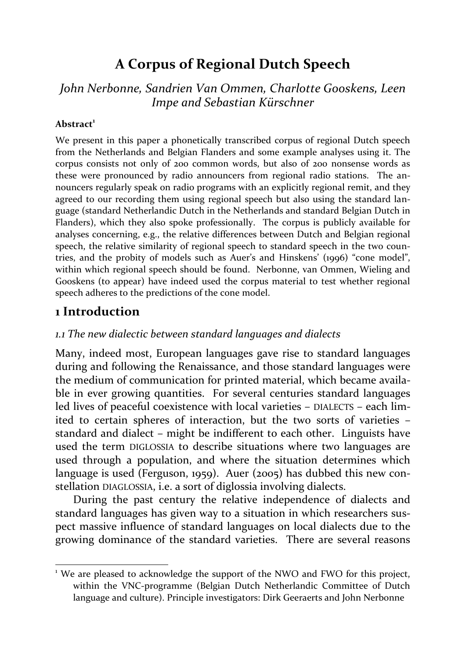# **A Corpus of Regional Dutch Speech**

*John Nerbonne, Sandrien Van Ommen, Charlotte Gooskens, Leen Impe and Sebastian Kürschner* 

#### **Abstract<sup>1</sup>**

We present in this paper a phonetically transcribed corpus of regional Dutch speech from the Netherlands and Belgian Flanders and some example analyses using it. The corpus consists not only of 200 common words, but also of 200 nonsense words as these were pronounced by radio announcers from regional radio stations. The announcers regularly speak on radio programs with an explicitly regional remit, and they agreed to our recording them using regional speech but also using the standard language (standard Netherlandic Dutch in the Netherlands and standard Belgian Dutch in Flanders), which they also spoke professionally. The corpus is publicly available for analyses concerning, e.g., the relative differences between Dutch and Belgian regional speech, the relative similarity of regional speech to standard speech in the two countries, and the probity of models such as Auer's and Hinskens' (1996) "cone model", within which regional speech should be found. Nerbonne, van Ommen, Wieling and Gooskens (to appear) have indeed used the corpus material to test whether regional speech adheres to the predictions of the cone model.

# **1 Introduction**

 $\overline{a}$ 

### *1.1 The new dialectic between standard languages and dialects*

Many, indeed most, European languages gave rise to standard languages during and following the Renaissance, and those standard languages were the medium of communication for printed material, which became available in ever growing quantities. For several centuries standard languages led lives of peaceful coexistence with local varieties – DIALECTS – each limited to certain spheres of interaction, but the two sorts of varieties – standard and dialect – might be indifferent to each other. Linguists have used the term DIGLOSSIA to describe situations where two languages are used through a population, and where the situation determines which language is used (Ferguson, 1959). Auer (2005) has dubbed this new constellation DIAGLOSSIA, i.e. a sort of diglossia involving dialects.

During the past century the relative independence of dialects and standard languages has given way to a situation in which researchers suspect massive influence of standard languages on local dialects due to the growing dominance of the standard varieties. There are several reasons

<sup>&</sup>lt;sup>1</sup> We are pleased to acknowledge the support of the NWO and FWO for this project, within the VNC-programme (Belgian Dutch Netherlandic Committee of Dutch language and culture). Principle investigators: Dirk Geeraerts and John Nerbonne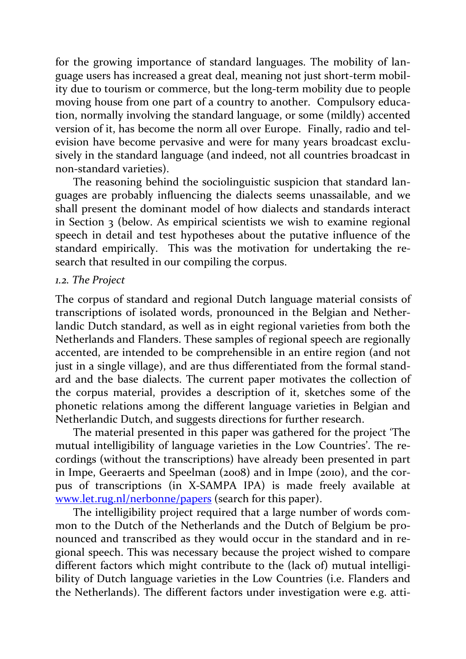for the growing importance of standard languages. The mobility of language users has increased a great deal, meaning not just short-term mobility due to tourism or commerce, but the long-term mobility due to people moving house from one part of a country to another. Compulsory education, normally involving the standard language, or some (mildly) accented version of it, has become the norm all over Europe. Finally, radio and television have become pervasive and were for many years broadcast exclusively in the standard language (and indeed, not all countries broadcast in non-standard varieties).

The reasoning behind the sociolinguistic suspicion that standard languages are probably influencing the dialects seems unassailable, and we shall present the dominant model of how dialects and standards interact in Section 3 (below. As empirical scientists we wish to examine regional speech in detail and test hypotheses about the putative influence of the standard empirically. This was the motivation for undertaking the research that resulted in our compiling the corpus.

### *1.2. The Project*

The corpus of standard and regional Dutch language material consists of transcriptions of isolated words, pronounced in the Belgian and Netherlandic Dutch standard, as well as in eight regional varieties from both the Netherlands and Flanders. These samples of regional speech are regionally accented, are intended to be comprehensible in an entire region (and not just in a single village), and are thus differentiated from the formal standard and the base dialects. The current paper motivates the collection of the corpus material, provides a description of it, sketches some of the phonetic relations among the different language varieties in Belgian and Netherlandic Dutch, and suggests directions for further research.

The material presented in this paper was gathered for the project 'The mutual intelligibility of language varieties in the Low Countries'. The recordings (without the transcriptions) have already been presented in part in Impe, Geeraerts and Speelman (2008) and in Impe (2010), and the corpus of transcriptions (in X-SAMPA IPA) is made freely available at [www.let.rug.nl/nerbonne/papers](http://www.let.rug.nl/nerbonne/papers) (search for this paper).

The intelligibility project required that a large number of words common to the Dutch of the Netherlands and the Dutch of Belgium be pronounced and transcribed as they would occur in the standard and in regional speech. This was necessary because the project wished to compare different factors which might contribute to the (lack of) mutual intelligibility of Dutch language varieties in the Low Countries (i.e. Flanders and the Netherlands). The different factors under investigation were e.g. atti-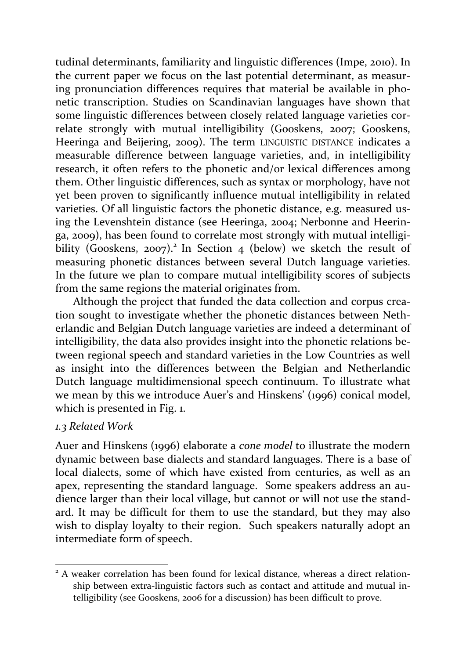tudinal determinants, familiarity and linguistic differences (Impe, 2010). In the current paper we focus on the last potential determinant, as measuring pronunciation differences requires that material be available in phonetic transcription. Studies on Scandinavian languages have shown that some linguistic differences between closely related language varieties correlate strongly with mutual intelligibility (Gooskens, 2007; Gooskens, Heeringa and Beijering, 2009). The term LINGUISTIC DISTANCE indicates a measurable difference between language varieties, and, in intelligibility research, it often refers to the phonetic and/or lexical differences among them. Other linguistic differences, such as syntax or morphology, have not yet been proven to significantly influence mutual intelligibility in related varieties. Of all linguistic factors the phonetic distance, e.g. measured using the Levenshtein distance (see Heeringa, 2004; Nerbonne and Heeringa, 2009), has been found to correlate most strongly with mutual intelligibility (Gooskens, 2007).<sup>2</sup> In Section 4 (below) we sketch the result of measuring phonetic distances between several Dutch language varieties. In the future we plan to compare mutual intelligibility scores of subjects from the same regions the material originates from.

Although the project that funded the data collection and corpus creation sought to investigate whether the phonetic distances between Netherlandic and Belgian Dutch language varieties are indeed a determinant of intelligibility, the data also provides insight into the phonetic relations between regional speech and standard varieties in the Low Countries as well as insight into the differences between the Belgian and Netherlandic Dutch language multidimensional speech continuum. To illustrate what we mean by this we introduce Auer's and Hinskens' (1996) conical model, which is presented in Fig. 1.

### *1.3 Related Work*

 $\overline{a}$ 

Auer and Hinskens (1996) elaborate a *cone model* to illustrate the modern dynamic between base dialects and standard languages. There is a base of local dialects, some of which have existed from centuries, as well as an apex, representing the standard language. Some speakers address an audience larger than their local village, but cannot or will not use the standard. It may be difficult for them to use the standard, but they may also wish to display loyalty to their region. Such speakers naturally adopt an intermediate form of speech.

<sup>&</sup>lt;sup>2</sup> A weaker correlation has been found for lexical distance, whereas a direct relationship between extra-linguistic factors such as contact and attitude and mutual intelligibility (see Gooskens, 2006 for a discussion) has been difficult to prove.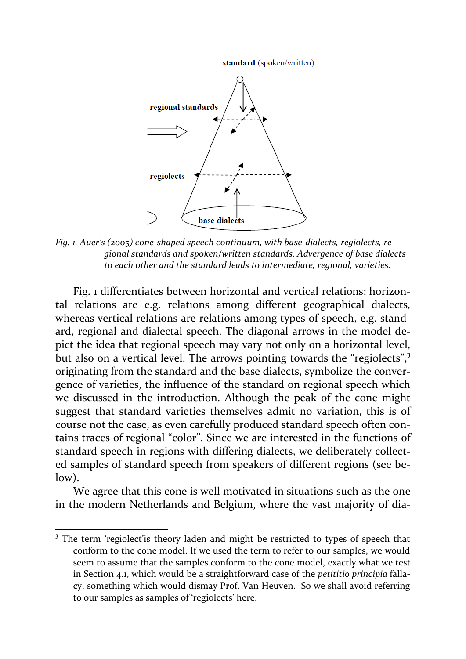standard (spoken/written)



*Fig. 1. Auer's (2005) cone-shaped speech continuum, with base-dialects, regiolects, regional standards and spoken/written standards. Advergence of base dialects to each other and the standard leads to intermediate, regional, varieties.*

Fig. 1 differentiates between horizontal and vertical relations: horizontal relations are e.g. relations among different geographical dialects, whereas vertical relations are relations among types of speech, e.g. standard, regional and dialectal speech. The diagonal arrows in the model depict the idea that regional speech may vary not only on a horizontal level, but also on a vertical level. The arrows pointing towards the "regiolects",<sup>3</sup> originating from the standard and the base dialects, symbolize the convergence of varieties, the influence of the standard on regional speech which we discussed in the introduction. Although the peak of the cone might suggest that standard varieties themselves admit no variation, this is of course not the case, as even carefully produced standard speech often contains traces of regional "color". Since we are interested in the functions of standard speech in regions with differing dialects, we deliberately collected samples of standard speech from speakers of different regions (see below).

We agree that this cone is well motivated in situations such as the one in the modern Netherlands and Belgium, where the vast majority of dia-

1

<sup>&</sup>lt;sup>3</sup> The term 'regiolect'is theory laden and might be restricted to types of speech that conform to the cone model. If we used the term to refer to our samples, we would seem to assume that the samples conform to the cone model, exactly what we test in Section 4.1, which would be a straightforward case of the *petititio principia* fallacy, something which would dismay Prof. Van Heuven. So we shall avoid referring to our samples as samples of 'regiolects' here.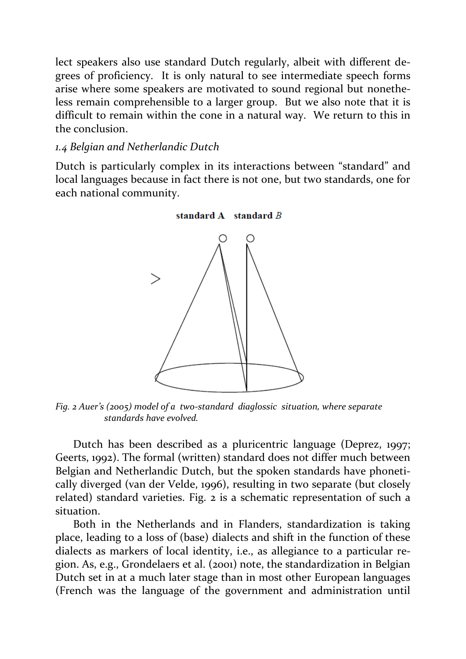lect speakers also use standard Dutch regularly, albeit with different degrees of proficiency. It is only natural to see intermediate speech forms arise where some speakers are motivated to sound regional but nonetheless remain comprehensible to a larger group. But we also note that it is difficult to remain within the cone in a natural way. We return to this in the conclusion.

### *1.4 Belgian and Netherlandic Dutch*

Dutch is particularly complex in its interactions between "standard" and local languages because in fact there is not one, but two standards, one for each national community.



*Fig. 2 Auer's (2005) model of a two-standard diaglossic situation, where separate standards have evolved.*

Dutch has been described as a pluricentric language (Deprez, 1997; Geerts, 1992). The formal (written) standard does not differ much between Belgian and Netherlandic Dutch, but the spoken standards have phonetically diverged (van der Velde, 1996), resulting in two separate (but closely related) standard varieties. Fig. 2 is a schematic representation of such a situation.

Both in the Netherlands and in Flanders, standardization is taking place, leading to a loss of (base) dialects and shift in the function of these dialects as markers of local identity, i.e., as allegiance to a particular region. As, e.g., Grondelaers et al. (2001) note, the standardization in Belgian Dutch set in at a much later stage than in most other European languages (French was the language of the government and administration until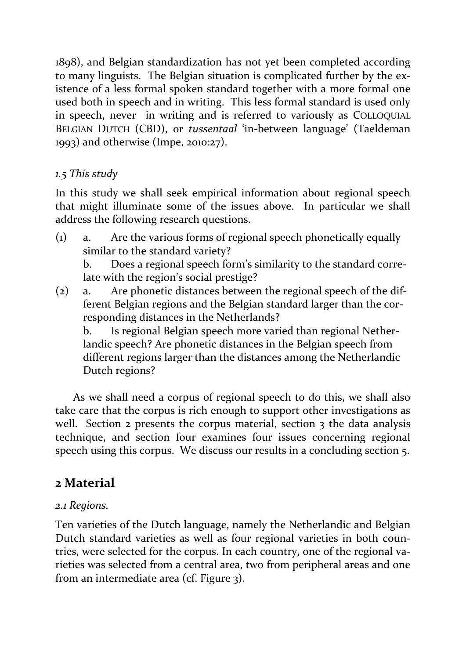1898), and Belgian standardization has not yet been completed according to many linguists. The Belgian situation is complicated further by the existence of a less formal spoken standard together with a more formal one used both in speech and in writing. This less formal standard is used only in speech, never in writing and is referred to variously as COLLOQUIAL BELGIAN DUTCH (CBD), or *tussentaal* 'in-between language' (Taeldeman 1993) and otherwise (Impe, 2010:27).

# *1.5 This study*

In this study we shall seek empirical information about regional speech that might illuminate some of the issues above. In particular we shall address the following research questions.

(1) a. Are the various forms of regional speech phonetically equally similar to the standard variety?

b. Does a regional speech form's similarity to the standard correlate with the region's social prestige?

(2) a. Are phonetic distances between the regional speech of the different Belgian regions and the Belgian standard larger than the corresponding distances in the Netherlands?

b. Is regional Belgian speech more varied than regional Netherlandic speech? Are phonetic distances in the Belgian speech from different regions larger than the distances among the Netherlandic Dutch regions?

As we shall need a corpus of regional speech to do this, we shall also take care that the corpus is rich enough to support other investigations as well. Section 2 presents the corpus material, section 3 the data analysis technique, and section four examines four issues concerning regional speech using this corpus. We discuss our results in a concluding section 5.

# **2 Material**

# *2.1 Regions.*

Ten varieties of the Dutch language, namely the Netherlandic and Belgian Dutch standard varieties as well as four regional varieties in both countries, were selected for the corpus. In each country, one of the regional varieties was selected from a central area, two from peripheral areas and one from an intermediate area (cf. Figure 3).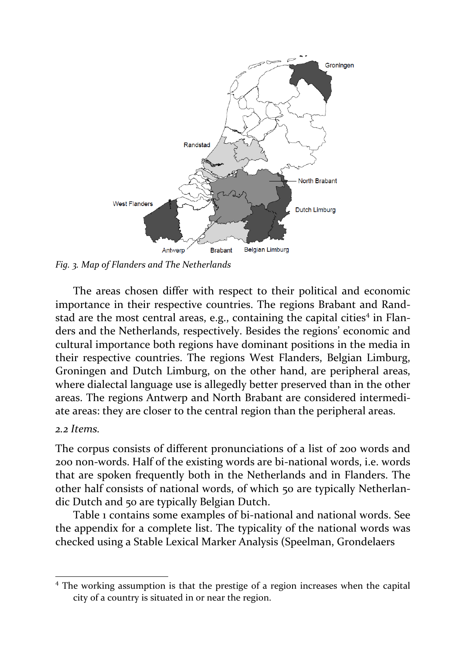

*Fig. 3. Map of Flanders and The Netherlands*

The areas chosen differ with respect to their political and economic importance in their respective countries. The regions Brabant and Randstad are the most central areas, e.g., containing the capital cities<sup>4</sup> in Flanders and the Netherlands, respectively. Besides the regions' economic and cultural importance both regions have dominant positions in the media in their respective countries. The regions West Flanders, Belgian Limburg, Groningen and Dutch Limburg, on the other hand, are peripheral areas, where dialectal language use is allegedly better preserved than in the other areas. The regions Antwerp and North Brabant are considered intermediate areas: they are closer to the central region than the peripheral areas.

#### *2.2 Items.*

 $\overline{a}$ 

The corpus consists of different pronunciations of a list of 200 words and 200 non-words. Half of the existing words are bi-national words, i.e. words that are spoken frequently both in the Netherlands and in Flanders. The other half consists of national words, of which 50 are typically Netherlandic Dutch and 50 are typically Belgian Dutch.

Table 1 contains some examples of bi-national and national words. See the appendix for a complete list. The typicality of the national words was checked using a Stable Lexical Marker Analysis (Speelman, Grondelaers

<sup>&</sup>lt;sup>4</sup> The working assumption is that the prestige of a region increases when the capital city of a country is situated in or near the region.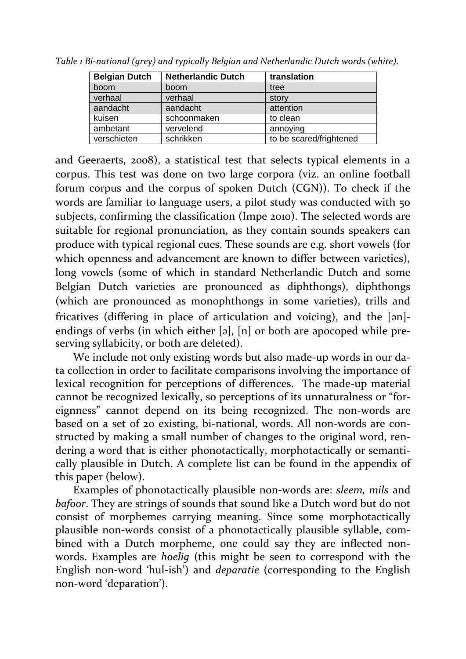| <b>Belgian Dutch</b> | <b>Netherlandic Dutch</b> | translation             |
|----------------------|---------------------------|-------------------------|
| boom                 | boom                      | tree                    |
| verhaal              | verhaal                   | story                   |
| aandacht             | aandacht                  | attention               |
| kuisen               | schoonmaken               | to clean                |
| ambetant             | vervelend                 | annoying                |
| verschieten          | schrikken                 | to be scared/frightened |

*Table 1 Bi-national (grey) and typically Belgian and Netherlandic Dutch words (white).*

and Geeraerts, 2008), a statistical test that selects typical elements in a corpus. This test was done on two large corpora (viz. an online football forum corpus and the corpus of spoken Dutch (CGN)). To check if the words are familiar to language users, a pilot study was conducted with 50 subjects, confirming the classification (Impe 2010). The selected words are suitable for regional pronunciation, as they contain sounds speakers can produce with typical regional cues. These sounds are e.g. short vowels (for which openness and advancement are known to differ between varieties), long vowels (some of which in standard Netherlandic Dutch and some Belgian Dutch varieties are pronounced as diphthongs), diphthongs (which are pronounced as monophthongs in some varieties), trills and fricatives (differing in place of articulation and voicing), and the [ən] endings of verbs (in which either [ə], [n] or both are apocoped while preserving syllabicity, or both are deleted).

We include not only existing words but also made-up words in our data collection in order to facilitate comparisons involving the importance of lexical recognition for perceptions of differences. The made-up material cannot be recognized lexically, so perceptions of its unnaturalness or "foreignness" cannot depend on its being recognized. The non-words are based on a set of 20 existing, bi-national, words. All non-words are constructed by making a small number of changes to the original word, rendering a word that is either phonotactically, morphotactically or semantically plausible in Dutch. A complete list can be found in the appendix of this paper (below).

Examples of phonotactically plausible non-words are: *sleem, mils* and *bafoor*. They are strings of sounds that sound like a Dutch word but do not consist of morphemes carrying meaning. Since some morphotactically plausible non-words consist of a phonotactically plausible syllable, combined with a Dutch morpheme, one could say they are inflected nonwords. Examples are *hoelig* (this might be seen to correspond with the English non-word 'hul-ish') and *deparatie* (corresponding to the English non-word 'deparation').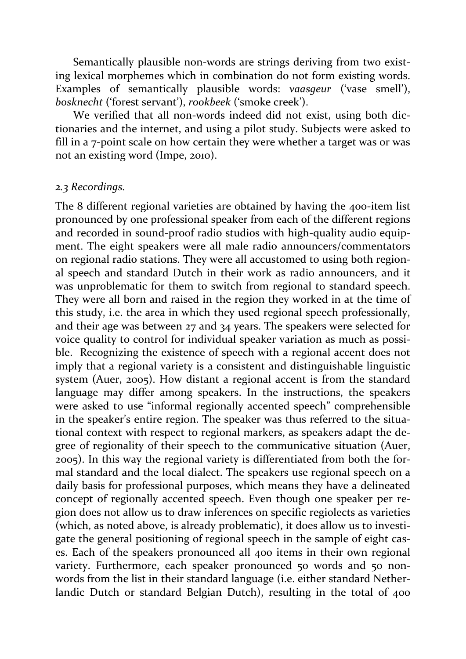Semantically plausible non-words are strings deriving from two existing lexical morphemes which in combination do not form existing words. Examples of semantically plausible words: *vaasgeur* ('vase smell'), *bosknecht* ('forest servant'), *rookbeek* ('smoke creek').

We verified that all non-words indeed did not exist, using both dictionaries and the internet, and using a pilot study. Subjects were asked to fill in a 7-point scale on how certain they were whether a target was or was not an existing word (Impe, 2010).

#### *2.3 Recordings.*

The 8 different regional varieties are obtained by having the 400-item list pronounced by one professional speaker from each of the different regions and recorded in sound-proof radio studios with high-quality audio equipment. The eight speakers were all male radio announcers/commentators on regional radio stations. They were all accustomed to using both regional speech and standard Dutch in their work as radio announcers, and it was unproblematic for them to switch from regional to standard speech. They were all born and raised in the region they worked in at the time of this study, i.e. the area in which they used regional speech professionally, and their age was between 27 and 34 years. The speakers were selected for voice quality to control for individual speaker variation as much as possible. Recognizing the existence of speech with a regional accent does not imply that a regional variety is a consistent and distinguishable linguistic system (Auer, 2005). How distant a regional accent is from the standard language may differ among speakers. In the instructions, the speakers were asked to use "informal regionally accented speech" comprehensible in the speaker's entire region. The speaker was thus referred to the situational context with respect to regional markers, as speakers adapt the degree of regionality of their speech to the communicative situation (Auer, 2005). In this way the regional variety is differentiated from both the formal standard and the local dialect. The speakers use regional speech on a daily basis for professional purposes, which means they have a delineated concept of regionally accented speech. Even though one speaker per region does not allow us to draw inferences on specific regiolects as varieties (which, as noted above, is already problematic), it does allow us to investigate the general positioning of regional speech in the sample of eight cases. Each of the speakers pronounced all 400 items in their own regional variety. Furthermore, each speaker pronounced 50 words and 50 nonwords from the list in their standard language (i.e. either standard Netherlandic Dutch or standard Belgian Dutch), resulting in the total of 400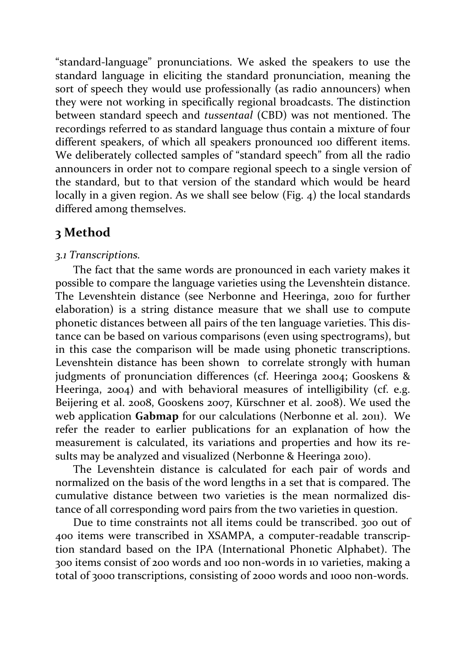"standard-language" pronunciations. We asked the speakers to use the standard language in eliciting the standard pronunciation, meaning the sort of speech they would use professionally (as radio announcers) when they were not working in specifically regional broadcasts. The distinction between standard speech and *tussentaal* (CBD) was not mentioned. The recordings referred to as standard language thus contain a mixture of four different speakers, of which all speakers pronounced 100 different items. We deliberately collected samples of "standard speech" from all the radio announcers in order not to compare regional speech to a single version of the standard, but to that version of the standard which would be heard locally in a given region. As we shall see below (Fig. 4) the local standards differed among themselves.

# **3 Method**

# *3.1 Transcriptions.*

The fact that the same words are pronounced in each variety makes it possible to compare the language varieties using the Levenshtein distance. The Levenshtein distance (see Nerbonne and Heeringa, 2010 for further elaboration) is a string distance measure that we shall use to compute phonetic distances between all pairs of the ten language varieties. This distance can be based on various comparisons (even using spectrograms), but in this case the comparison will be made using phonetic transcriptions. Levenshtein distance has been shown to correlate strongly with human judgments of pronunciation differences (cf. Heeringa 2004; Gooskens & Heeringa, 2004) and with behavioral measures of intelligibility (cf. e.g. Beijering et al. 2008, Gooskens 2007, Kürschner et al. 2008). We used the web application **Gabmap** for our calculations (Nerbonne et al. 2011). We refer the reader to earlier publications for an explanation of how the measurement is calculated, its variations and properties and how its results may be analyzed and visualized (Nerbonne & Heeringa 2010).

The Levenshtein distance is calculated for each pair of words and normalized on the basis of the word lengths in a set that is compared. The cumulative distance between two varieties is the mean normalized distance of all corresponding word pairs from the two varieties in question.

Due to time constraints not all items could be transcribed. 300 out of 400 items were transcribed in XSAMPA, a computer-readable transcription standard based on the IPA (International Phonetic Alphabet). The 300 items consist of 200 words and 100 non-words in 10 varieties, making a total of 3000 transcriptions, consisting of 2000 words and 1000 non-words.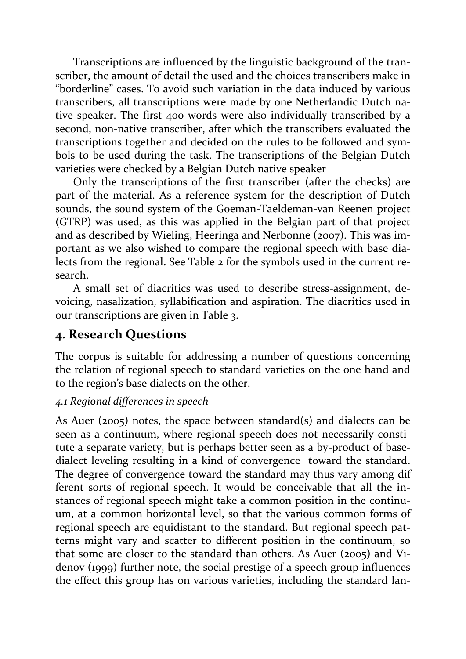Transcriptions are influenced by the linguistic background of the transcriber, the amount of detail the used and the choices transcribers make in "borderline" cases. To avoid such variation in the data induced by various transcribers, all transcriptions were made by one Netherlandic Dutch native speaker. The first 400 words were also individually transcribed by a second, non-native transcriber, after which the transcribers evaluated the transcriptions together and decided on the rules to be followed and symbols to be used during the task. The transcriptions of the Belgian Dutch varieties were checked by a Belgian Dutch native speaker

Only the transcriptions of the first transcriber (after the checks) are part of the material. As a reference system for the description of Dutch sounds, the sound system of the Goeman-Taeldeman-van Reenen project (GTRP) was used, as this was applied in the Belgian part of that project and as described by Wieling, Heeringa and Nerbonne (2007). This was important as we also wished to compare the regional speech with base dialects from the regional. See Table 2 for the symbols used in the current research.

A small set of diacritics was used to describe stress-assignment, devoicing, nasalization, syllabification and aspiration. The diacritics used in our transcriptions are given in Table 3.

# **4. Research Questions**

The corpus is suitable for addressing a number of questions concerning the relation of regional speech to standard varieties on the one hand and to the region's base dialects on the other.

# *4.1 Regional differences in speech*

As Auer (2005) notes, the space between standard(s) and dialects can be seen as a continuum, where regional speech does not necessarily constitute a separate variety, but is perhaps better seen as a by-product of basedialect leveling resulting in a kind of convergence toward the standard. The degree of convergence toward the standard may thus vary among dif ferent sorts of regional speech. It would be conceivable that all the instances of regional speech might take a common position in the continuum, at a common horizontal level, so that the various common forms of regional speech are equidistant to the standard. But regional speech patterns might vary and scatter to different position in the continuum, so that some are closer to the standard than others. As Auer (2005) and Videnov (1999) further note, the social prestige of a speech group influences the effect this group has on various varieties, including the standard lan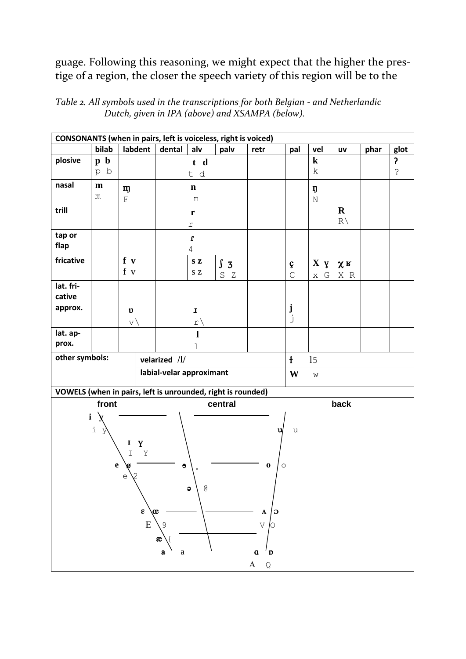guage. Following this reasoning, we might expect that the higher the prestige of a region, the closer the speech variety of this region will be to the

*Table 2. All symbols used in the transcriptions for both Belgian - and Netherlandic Dutch, given in IPA (above) and XSAMPA (below).*

| CONSONANTS (when in pairs, left is voiceless, right is voiced) |                                                |             |               |             |                                                       |              |             |                  |                 |               |      |               |  |
|----------------------------------------------------------------|------------------------------------------------|-------------|---------------|-------------|-------------------------------------------------------|--------------|-------------|------------------|-----------------|---------------|------|---------------|--|
|                                                                | bilab                                          | labdent     |               | dental      | alv                                                   | palv         | retr        | pal              | vel             | uv            | phar | glot          |  |
| plosive                                                        | $\mathbf b$<br>$\mathbf{p}$                    |             |               | t d         |                                                       |              |             |                  | $\bf k$         |               |      | 5             |  |
|                                                                | p b                                            |             |               | t d         |                                                       |              |             |                  | $\mathbf k$     |               |      | $\mathcal{E}$ |  |
| nasal                                                          | $\mathbf{m}$                                   | m           |               | $\mathbf n$ |                                                       |              |             |                  | ŋ               |               |      |               |  |
|                                                                | m                                              | $\mathbf F$ |               | n           |                                                       |              |             |                  | $\rm N$         |               |      |               |  |
| trill                                                          |                                                |             |               |             | r                                                     |              |             |                  |                 | $\mathbf R$   |      |               |  |
|                                                                |                                                |             |               |             | $\Upsilon$                                            |              |             |                  |                 | $R \setminus$ |      |               |  |
| tap or                                                         |                                                |             |               |             | $\mathbf{r}$                                          |              |             |                  |                 |               |      |               |  |
| flap                                                           |                                                |             |               |             | $\overline{4}$                                        |              |             |                  |                 |               |      |               |  |
| fricative                                                      |                                                | f v         |               |             | $\mathbf S$ Z                                         | $\int 3$     |             | ç                | $X \, y$        | $x_R$         |      |               |  |
|                                                                |                                                | f v         |               |             | $\mathbf S$ Z                                         | $\rm S$<br>Z |             | $\mathsf C$      | $\times$ $\,$ G | X R           |      |               |  |
| lat. fri-                                                      |                                                |             |               |             |                                                       |              |             |                  |                 |               |      |               |  |
| cative                                                         |                                                |             |               |             |                                                       |              |             |                  |                 |               |      |               |  |
| approx.                                                        |                                                | $\upsilon$  |               |             | $\mathbf{I}% _{T}=\mathbf{I}_{T}\times\mathbf{I}_{T}$ |              |             | ${\bf j}$        |                 |               |      |               |  |
|                                                                |                                                | $\vee$      |               |             | r\                                                    |              |             | j                |                 |               |      |               |  |
| lat. ap-                                                       |                                                |             |               |             | $\mathbf{l}$                                          |              |             |                  |                 |               |      |               |  |
| prox.                                                          |                                                |             |               |             | $\mathbf 1$                                           |              |             |                  |                 |               |      |               |  |
| other symbols:                                                 |                                                |             | velarized /l/ |             |                                                       |              |             | $\ddagger$<br>15 |                 |               |      |               |  |
| labial-velar approximant                                       |                                                |             |               |             | W<br>$\mbox{W}$                                       |              |             |                  |                 |               |      |               |  |
| VOWELS (when in pairs, left is unrounded, right is rounded)    |                                                |             |               |             |                                                       |              |             |                  |                 |               |      |               |  |
| front<br>back<br>central                                       |                                                |             |               |             |                                                       |              |             |                  |                 |               |      |               |  |
| $\mathbf i$                                                    |                                                |             |               |             |                                                       |              |             |                  |                 |               |      |               |  |
| $\dot{\mathtt l}$<br>u<br>У<br>u                               |                                                |             |               |             |                                                       |              |             |                  |                 |               |      |               |  |
| $\mathbf Y$<br>$\bf{I}$                                        |                                                |             |               |             |                                                       |              |             |                  |                 |               |      |               |  |
| $\mathbbm{I}$<br>Υ                                             |                                                |             |               |             |                                                       |              |             |                  |                 |               |      |               |  |
| $\mathbf e$<br>$\Theta$<br>$\bf{0}$<br>$\circ$                 |                                                |             |               |             |                                                       |              |             |                  |                 |               |      |               |  |
| 2<br>$\mathop{\mathrm{e}}$                                     |                                                |             |               |             |                                                       |              |             |                  |                 |               |      |               |  |
| g<br>$\bullet$                                                 |                                                |             |               |             |                                                       |              |             |                  |                 |               |      |               |  |
|                                                                |                                                |             |               |             |                                                       |              |             |                  |                 |               |      |               |  |
| $\pmb{\epsilon}$<br>$\infty$<br>Λ<br>Э                         |                                                |             |               |             |                                                       |              |             |                  |                 |               |      |               |  |
|                                                                |                                                |             | ${\bf E}$     | 9           |                                                       |              | $\vee$<br>Ο |                  |                 |               |      |               |  |
|                                                                |                                                |             |               | æ           |                                                       |              |             |                  |                 |               |      |               |  |
|                                                                | $\mathfrak a$<br>$\mathbf{D}$<br>a<br>$\rm{a}$ |             |               |             |                                                       |              |             |                  |                 |               |      |               |  |
| $A \quad Q$                                                    |                                                |             |               |             |                                                       |              |             |                  |                 |               |      |               |  |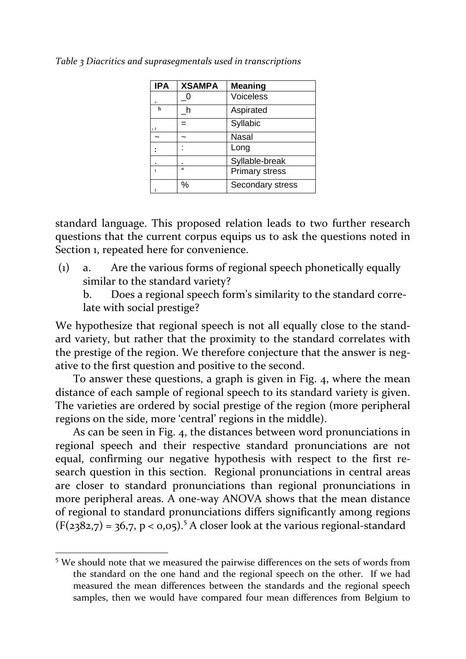| <b>IPA</b> | <b>XSAMPA</b> | <b>Meaning</b>        |
|------------|---------------|-----------------------|
| $\circ$    |               | Voiceless             |
| h          |               | Aspirated             |
| тI         |               | Syllabic              |
|            |               | Nasal                 |
|            |               | Long                  |
|            |               | Syllable-break        |
|            | $\mathbf{G}$  | <b>Primary stress</b> |
|            | ℅             | Secondary stress      |

*Table 3 Diacritics and suprasegmentals used in transcriptions*

standard language. This proposed relation leads to two further research questions that the current corpus equips us to ask the questions noted in Section 1, repeated here for convenience.

(1) a. Are the various forms of regional speech phonetically equally similar to the standard variety?

b. Does a regional speech form's similarity to the standard correlate with social prestige?

We hypothesize that regional speech is not all equally close to the standard variety, but rather that the proximity to the standard correlates with the prestige of the region. We therefore conjecture that the answer is negative to the first question and positive to the second.

To answer these questions, a graph is given in Fig. 4, where the mean distance of each sample of regional speech to its standard variety is given. The varieties are ordered by social prestige of the region (more peripheral regions on the side, more 'central' regions in the middle).

As can be seen in Fig. 4, the distances between word pronunciations in regional speech and their respective standard pronunciations are not equal, confirming our negative hypothesis with respect to the first research question in this section. Regional pronunciations in central areas are closer to standard pronunciations than regional pronunciations in more peripheral areas. A one-way ANOVA shows that the mean distance of regional to standard pronunciations differs significantly among regions  $(F(2382,7) = 36,7, p < 0.05)$ .<sup>5</sup> A closer look at the various regional-standard

 $\overline{a}$ 

<sup>5</sup> We should note that we measured the pairwise differences on the sets of words from the standard on the one hand and the regional speech on the other. If we had measured the mean differences between the standards and the regional speech samples, then we would have compared four mean differences from Belgium to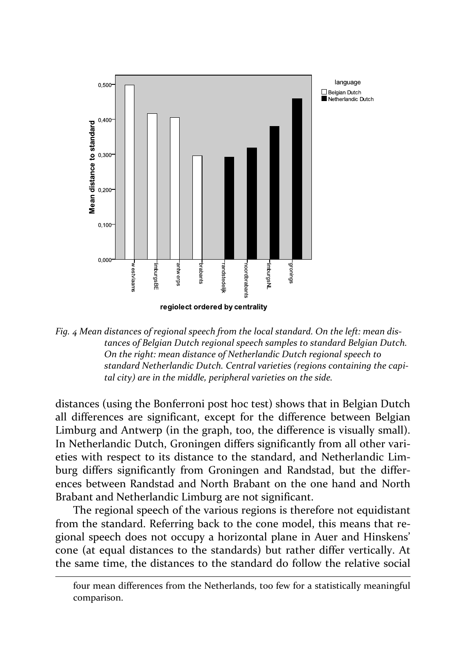

*Fig. 4 Mean distances of regional speech from the local standard. On the left: mean distances of Belgian Dutch regional speech samples to standard Belgian Dutch. On the right: mean distance of Netherlandic Dutch regional speech to standard Netherlandic Dutch. Central varieties (regions containing the capital city) are in the middle, peripheral varieties on the side.*

distances (using the Bonferroni post hoc test) shows that in Belgian Dutch all differences are significant, except for the difference between Belgian Limburg and Antwerp (in the graph, too, the difference is visually small). In Netherlandic Dutch, Groningen differs significantly from all other varieties with respect to its distance to the standard, and Netherlandic Limburg differs significantly from Groningen and Randstad, but the differences between Randstad and North Brabant on the one hand and North Brabant and Netherlandic Limburg are not significant.

The regional speech of the various regions is therefore not equidistant from the standard. Referring back to the cone model, this means that regional speech does not occupy a horizontal plane in Auer and Hinskens' cone (at equal distances to the standards) but rather differ vertically. At the same time, the distances to the standard do follow the relative social

 $\overline{a}$ 

four mean differences from the Netherlands, too few for a statistically meaningful comparison.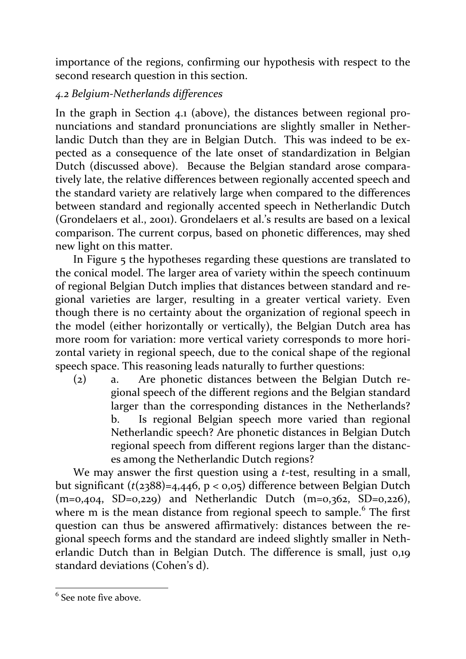importance of the regions, confirming our hypothesis with respect to the second research question in this section.

# *4.2 Belgium-Netherlands differences*

In the graph in Section 4.1 (above), the distances between regional pronunciations and standard pronunciations are slightly smaller in Netherlandic Dutch than they are in Belgian Dutch. This was indeed to be expected as a consequence of the late onset of standardization in Belgian Dutch (discussed above). Because the Belgian standard arose comparatively late, the relative differences between regionally accented speech and the standard variety are relatively large when compared to the differences between standard and regionally accented speech in Netherlandic Dutch (Grondelaers et al., 2001). Grondelaers et al.'s results are based on a lexical comparison. The current corpus, based on phonetic differences, may shed new light on this matter.

In Figure 5 the hypotheses regarding these questions are translated to the conical model. The larger area of variety within the speech continuum of regional Belgian Dutch implies that distances between standard and regional varieties are larger, resulting in a greater vertical variety. Even though there is no certainty about the organization of regional speech in the model (either horizontally or vertically), the Belgian Dutch area has more room for variation: more vertical variety corresponds to more horizontal variety in regional speech, due to the conical shape of the regional speech space. This reasoning leads naturally to further questions:

(2) a. Are phonetic distances between the Belgian Dutch regional speech of the different regions and the Belgian standard larger than the corresponding distances in the Netherlands? b. Is regional Belgian speech more varied than regional Netherlandic speech? Are phonetic distances in Belgian Dutch regional speech from different regions larger than the distances among the Netherlandic Dutch regions?

We may answer the first question using a *t*-test, resulting in a small, but significant (*t*(2388)=4,446, p < 0,05) difference between Belgian Dutch  $(m=0,404, SD=0,229)$  and Netherlandic Dutch  $(m=0,362, SD=0,226)$ , where m is the mean distance from regional speech to sample.<sup>6</sup> The first question can thus be answered affirmatively: distances between the regional speech forms and the standard are indeed slightly smaller in Netherlandic Dutch than in Belgian Dutch. The difference is small, just 0,19 standard deviations (Cohen's d).

 $\overline{a}$  $<sup>6</sup>$  See note five above.</sup>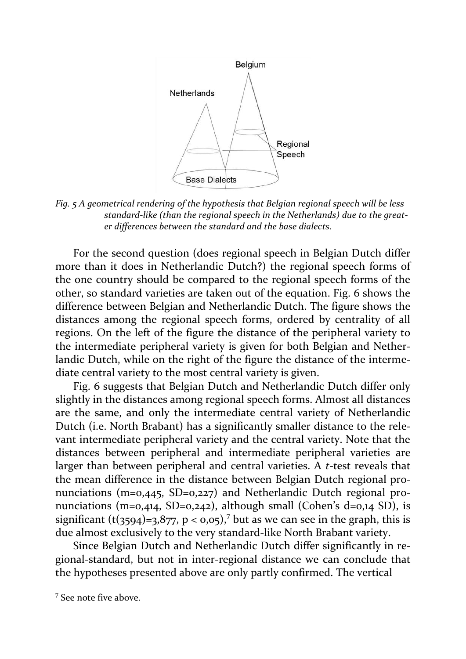

*Fig. 5 A geometrical rendering of the hypothesis that Belgian regional speech will be less standard-like (than the regional speech in the Netherlands) due to the greater differences between the standard and the base dialects.*

For the second question (does regional speech in Belgian Dutch differ more than it does in Netherlandic Dutch?) the regional speech forms of the one country should be compared to the regional speech forms of the other, so standard varieties are taken out of the equation. Fig. 6 shows the difference between Belgian and Netherlandic Dutch. The figure shows the distances among the regional speech forms, ordered by centrality of all regions. On the left of the figure the distance of the peripheral variety to the intermediate peripheral variety is given for both Belgian and Netherlandic Dutch, while on the right of the figure the distance of the intermediate central variety to the most central variety is given.

Fig. 6 suggests that Belgian Dutch and Netherlandic Dutch differ only slightly in the distances among regional speech forms. Almost all distances are the same, and only the intermediate central variety of Netherlandic Dutch (i.e. North Brabant) has a significantly smaller distance to the relevant intermediate peripheral variety and the central variety. Note that the distances between peripheral and intermediate peripheral varieties are larger than between peripheral and central varieties. A *t*-test reveals that the mean difference in the distance between Belgian Dutch regional pronunciations (m=0,445, SD=0,227) and Netherlandic Dutch regional pronunciations (m=0,414, SD=0,242), although small (Cohen's d=0,14 SD), is significant  $(t(3594)=3.877, p < 0.05)$ ,<sup>7</sup> but as we can see in the graph, this is due almost exclusively to the very standard-like North Brabant variety.

Since Belgian Dutch and Netherlandic Dutch differ significantly in regional-standard, but not in inter-regional distance we can conclude that the hypotheses presented above are only partly confirmed. The vertical

 $\overline{a}$ 

<sup>&</sup>lt;sup>7</sup> See note five above.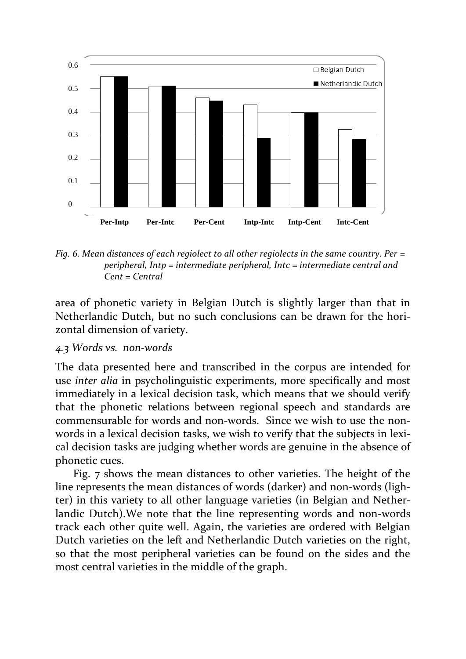

*Fig. 6. Mean distances of each regiolect to all other regiolects in the same country. Per = peripheral, Intp = intermediate peripheral, Intc = intermediate central and Cent = Central*

area of phonetic variety in Belgian Dutch is slightly larger than that in Netherlandic Dutch, but no such conclusions can be drawn for the horizontal dimension of variety.

### *4.3 Words vs. non-words*

The data presented here and transcribed in the corpus are intended for use *inter alia* in psycholinguistic experiments, more specifically and most immediately in a lexical decision task, which means that we should verify that the phonetic relations between regional speech and standards are commensurable for words and non-words. Since we wish to use the nonwords in a lexical decision tasks, we wish to verify that the subjects in lexical decision tasks are judging whether words are genuine in the absence of phonetic cues.

Fig. 7 shows the mean distances to other varieties. The height of the line represents the mean distances of words (darker) and non-words (lighter) in this variety to all other language varieties (in Belgian and Netherlandic Dutch).We note that the line representing words and non-words track each other quite well. Again, the varieties are ordered with Belgian Dutch varieties on the left and Netherlandic Dutch varieties on the right, so that the most peripheral varieties can be found on the sides and the most central varieties in the middle of the graph.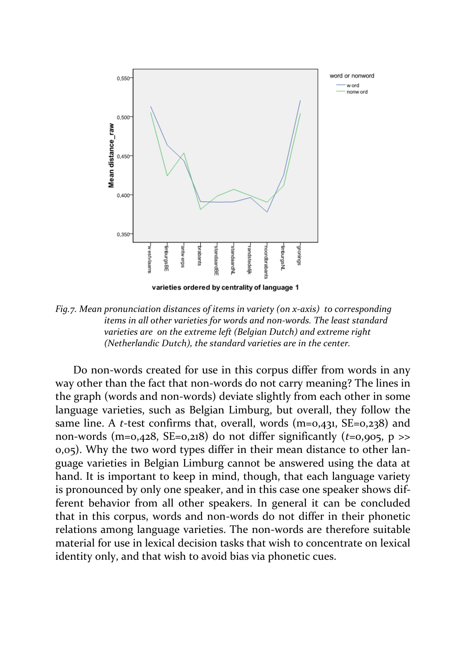

*Fig.7. Mean pronunciation distances of items in variety (on x-axis) to corresponding items in all other varieties for words and non-words. The least standard varieties are on the extreme left (Belgian Dutch) and extreme right (Netherlandic Dutch), the standard varieties are in the center.* 

Do non-words created for use in this corpus differ from words in any way other than the fact that non-words do not carry meaning? The lines in the graph (words and non-words) deviate slightly from each other in some language varieties, such as Belgian Limburg, but overall, they follow the same line. A *t*-test confirms that, overall, words (m=0,431, SE=0,238) and non-words (m=0,428, SE=0,218) do not differ significantly ( $t=0.905$ ,  $p \gg$ 0,05). Why the two word types differ in their mean distance to other language varieties in Belgian Limburg cannot be answered using the data at hand. It is important to keep in mind, though, that each language variety is pronounced by only one speaker, and in this case one speaker shows different behavior from all other speakers. In general it can be concluded that in this corpus, words and non-words do not differ in their phonetic relations among language varieties. The non-words are therefore suitable material for use in lexical decision tasks that wish to concentrate on lexical identity only, and that wish to avoid bias via phonetic cues.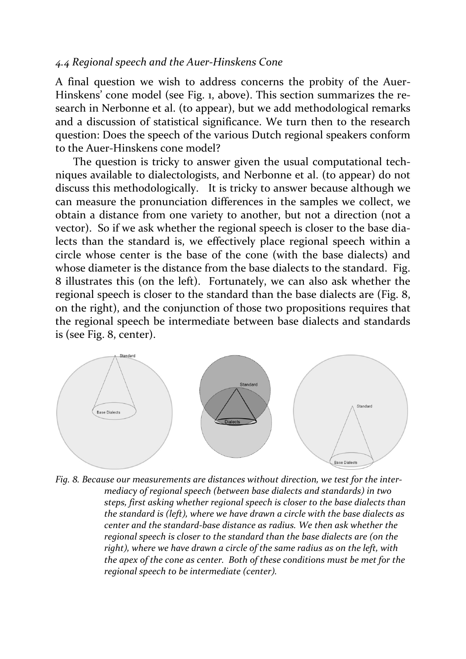#### *4.4 Regional speech and the Auer-Hinskens Cone*

A final question we wish to address concerns the probity of the Auer-Hinskens' cone model (see Fig. 1, above). This section summarizes the research in Nerbonne et al. (to appear), but we add methodological remarks and a discussion of statistical significance. We turn then to the research question: Does the speech of the various Dutch regional speakers conform to the Auer-Hinskens cone model?

The question is tricky to answer given the usual computational techniques available to dialectologists, and Nerbonne et al. (to appear) do not discuss this methodologically. It is tricky to answer because although we can measure the pronunciation differences in the samples we collect, we obtain a distance from one variety to another, but not a direction (not a vector). So if we ask whether the regional speech is closer to the base dialects than the standard is, we effectively place regional speech within a circle whose center is the base of the cone (with the base dialects) and whose diameter is the distance from the base dialects to the standard. Fig. 8 illustrates this (on the left). Fortunately, we can also ask whether the regional speech is closer to the standard than the base dialects are (Fig. 8, on the right), and the conjunction of those two propositions requires that the regional speech be intermediate between base dialects and standards is (see Fig. 8, center).



*Fig. 8. Because our measurements are distances without direction, we test for the intermediacy of regional speech (between base dialects and standards) in two steps, first asking whether regional speech is closer to the base dialects than the standard is (left), where we have drawn a circle with the base dialects as center and the standard-base distance as radius. We then ask whether the regional speech is closer to the standard than the base dialects are (on the right), where we have drawn a circle of the same radius as on the left, with the apex of the cone as center. Both of these conditions must be met for the regional speech to be intermediate (center).*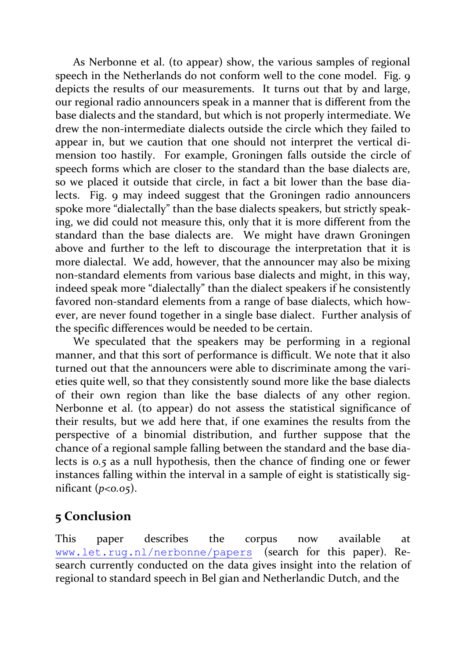As Nerbonne et al. (to appear) show, the various samples of regional speech in the Netherlands do not conform well to the cone model. Fig. 9 depicts the results of our measurements. It turns out that by and large, our regional radio announcers speak in a manner that is different from the base dialects and the standard, but which is not properly intermediate. We drew the non-intermediate dialects outside the circle which they failed to appear in, but we caution that one should not interpret the vertical dimension too hastily. For example, Groningen falls outside the circle of speech forms which are closer to the standard than the base dialects are, so we placed it outside that circle, in fact a bit lower than the base dialects. Fig. 9 may indeed suggest that the Groningen radio announcers spoke more "dialectally" than the base dialects speakers, but strictly speaking, we did could not measure this, only that it is more different from the standard than the base dialects are. We might have drawn Groningen above and further to the left to discourage the interpretation that it is more dialectal. We add, however, that the announcer may also be mixing non-standard elements from various base dialects and might, in this way, indeed speak more "dialectally" than the dialect speakers if he consistently favored non-standard elements from a range of base dialects, which however, are never found together in a single base dialect. Further analysis of the specific differences would be needed to be certain.

We speculated that the speakers may be performing in a regional manner, and that this sort of performance is difficult. We note that it also turned out that the announcers were able to discriminate among the varieties quite well, so that they consistently sound more like the base dialects of their own region than like the base dialects of any other region. Nerbonne et al. (to appear) do not assess the statistical significance of their results, but we add here that, if one examines the results from the perspective of a binomial distribution, and further suppose that the chance of a regional sample falling between the standard and the base dialects is *0.5* as a null hypothesis, then the chance of finding one or fewer instances falling within the interval in a sample of eight is statistically significant (*p<0.05*).

# **5 Conclusion**

This paper describes the corpus now available at [www.let.rug.nl/nerbonne/papers](http://www.let.rug.nl/nerbonne/papers) (search for this paper). Research currently conducted on the data gives insight into the relation of regional to standard speech in Bel gian and Netherlandic Dutch, and the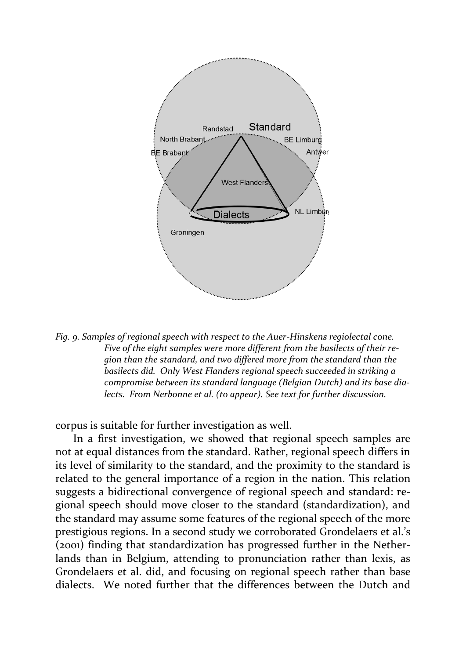

*Fig. 9. Samples of regional speech with respect to the Auer-Hinskens regiolectal cone. Five of the eight samples were more different from the basilects of their region than the standard, and two differed more from the standard than the basilects did. Only West Flanders regional speech succeeded in striking a compromise between its standard language (Belgian Dutch) and its base dialects. From Nerbonne et al. (to appear). See text for further discussion.*

corpus is suitable for further investigation as well.

In a first investigation, we showed that regional speech samples are not at equal distances from the standard. Rather, regional speech differs in its level of similarity to the standard, and the proximity to the standard is related to the general importance of a region in the nation. This relation suggests a bidirectional convergence of regional speech and standard: regional speech should move closer to the standard (standardization), and the standard may assume some features of the regional speech of the more prestigious regions. In a second study we corroborated Grondelaers et al.'s (2001) finding that standardization has progressed further in the Netherlands than in Belgium, attending to pronunciation rather than lexis, as Grondelaers et al. did, and focusing on regional speech rather than base dialects. We noted further that the differences between the Dutch and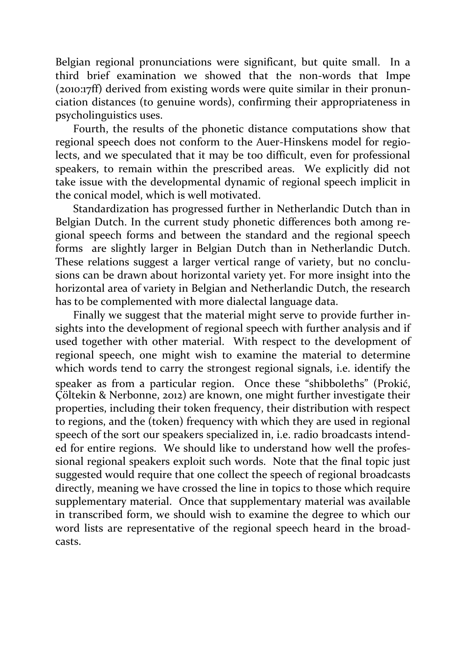Belgian regional pronunciations were significant, but quite small. In a third brief examination we showed that the non-words that Impe (2010:17ff) derived from existing words were quite similar in their pronunciation distances (to genuine words), confirming their appropriateness in psycholinguistics uses.

Fourth, the results of the phonetic distance computations show that regional speech does not conform to the Auer-Hinskens model for regiolects, and we speculated that it may be too difficult, even for professional speakers, to remain within the prescribed areas. We explicitly did not take issue with the developmental dynamic of regional speech implicit in the conical model, which is well motivated.

Standardization has progressed further in Netherlandic Dutch than in Belgian Dutch. In the current study phonetic differences both among regional speech forms and between the standard and the regional speech forms are slightly larger in Belgian Dutch than in Netherlandic Dutch. These relations suggest a larger vertical range of variety, but no conclusions can be drawn about horizontal variety yet. For more insight into the horizontal area of variety in Belgian and Netherlandic Dutch, the research has to be complemented with more dialectal language data.

Finally we suggest that the material might serve to provide further insights into the development of regional speech with further analysis and if used together with other material. With respect to the development of regional speech, one might wish to examine the material to determine which words tend to carry the strongest regional signals, i.e. identify the speaker as from a particular region. Once these "shibboleths" (Prokić, Çöltekin & Nerbonne, 2012) are known, one might further investigate their properties, including their token frequency, their distribution with respect to regions, and the (token) frequency with which they are used in regional speech of the sort our speakers specialized in, i.e. radio broadcasts intended for entire regions. We should like to understand how well the professional regional speakers exploit such words. Note that the final topic just suggested would require that one collect the speech of regional broadcasts directly, meaning we have crossed the line in topics to those which require supplementary material. Once that supplementary material was available in transcribed form, we should wish to examine the degree to which our word lists are representative of the regional speech heard in the broadcasts.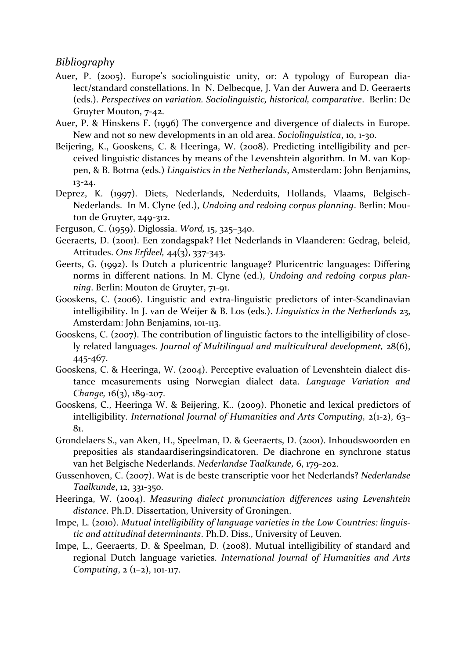#### *Bibliography*

- Auer, P. (2005). Europe's sociolinguistic unity, or: A typology of European dialect/standard constellations. In N. Delbecque, J. Van der Auwera and D. Geeraerts (eds.). *Perspectives on variation. Sociolinguistic, historical, comparative*. Berlin: De Gruyter Mouton, 7-42.
- Auer, P. & Hinskens F. (1996) The convergence and divergence of dialects in Europe. New and not so new developments in an old area. *Sociolinguistica*, 10, 1-30.
- Beijering, K., Gooskens, C. & Heeringa, W. (2008). Predicting intelligibility and perceived linguistic distances by means of the Levenshtein algorithm. In M. van Koppen, & B. Botma (eds.) *Linguistics in the Netherlands*, Amsterdam: John Benjamins, 13-24.
- Deprez, K. (1997). Diets, Nederlands, Nederduits, Hollands, Vlaams, Belgisch-Nederlands. In M. Clyne (ed.), *Undoing and redoing corpus planning*. Berlin: Mouton de Gruyter, 249-312.
- [Ferguson, C.](http://en.wikipedia.org/wiki/Charles_A._Ferguson) (1959). Diglossia. *Word,* 15, 325–340.
- Geeraerts, D. (2001). Een zondagspak? Het Nederlands in Vlaanderen: Gedrag, beleid, Attitudes. *Ons Erfdeel,* 44(3), 337-343.
- Geerts, G. (1992). Is Dutch a pluricentric language? Pluricentric languages: Differing norms in different nations. In M. Clyne (ed.), *Undoing and redoing corpus planning*. Berlin: Mouton de Gruyter, 71-91.
- Gooskens, C. (2006). Linguistic and extra-linguistic predictors of inter-Scandinavian intelligibility. In J. van de Weijer & B. Los (eds.). *Linguistics in the Netherlands* 23, Amsterdam: John Benjamins, 101-113.
- Gooskens, C. (2007). The contribution of linguistic factors to the intelligibility of closely related languages. *Journal of Multilingual and multicultural development,* 28(6), 445-467.
- Gooskens, C. & Heeringa, W. (2004). Perceptive evaluation of Levenshtein dialect distance measurements using Norwegian dialect data. *Language Variation and Change,* 16(3), 189-207.
- Gooskens, C., Heeringa W. & Beijering, K.. (2009). Phonetic and lexical predictors of intelligibility. *International Journal of Humanities and Arts Computing,* 2(1-2), 63– 81.
- Grondelaers S., van Aken, H., Speelman, D. & Geeraerts, D. (2001). Inhoudswoorden en preposities als standaardiseringsindicatoren. De diachrone en synchrone status van het Belgische Nederlands. *Nederlandse Taalkunde,* 6, 179-202.
- Gussenhoven, C. (2007). Wat is de beste transcriptie voor het Nederlands? *Nederlandse Taalkunde*, 12, 331-350.
- Heeringa, W. (2004). *Measuring dialect pronunciation differences using Levenshtein distance*. Ph.D. Dissertation, University of Groningen.
- Impe, L. (2010). *Mutual intelligibility of language varieties in the Low Countries: linguistic and attitudinal determinants*. Ph.D. Diss., University of Leuven.
- Impe, L., Geeraerts, D. & Speelman, D. (2008). Mutual intelligibility of standard and regional Dutch language varieties. *International Journal of Humanities and Arts Computing*, 2 (1–2), 101-117.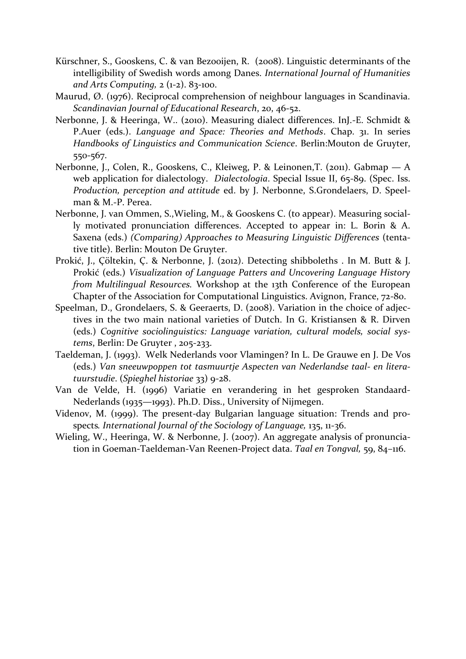- Kürschner, S., Gooskens, C. & van Bezooijen, R. (2008). Linguistic determinants of the intelligibility of Swedish words among Danes. *International Journal of Humanities and Arts Computing,* 2 (1-2). 83-100.
- Maurud, Ø. (1976). Reciprocal comprehension of neighbour languages in Scandinavia. *Scandinavian Journal of Educational Research*, 20, 46-52.
- Nerbonne, J. & Heeringa, W.. (2010). Measuring dialect differences. InJ.-E. Schmidt & P.Auer (eds.). *Language and Space: Theories and Methods*. Chap. 31. In series *Handbooks of Linguistics and Communication Science*. Berlin:Mouton de Gruyter, 550-567.
- Nerbonne, J., Colen, R., Gooskens, C., Kleiweg, P. & Leinonen,T. (2011). [Gabmap](http://urd.let.rug.nl/nerbonne/papers/Gabmap-long-2011.pdf)  A [web application for dialectology.](http://urd.let.rug.nl/nerbonne/papers/Gabmap-long-2011.pdf) *Dialectologia*. Special Issue II, 65-89. (Spec. Iss. *Production, perception and attitude* ed. by J. Nerbonne, S.Grondelaers, D. Speelman & M.-P. Perea.
- Nerbonne, J. van Ommen, S.,Wieling, M., & Gooskens C. (to appear). [Measuring social](http://urd.let.rug.nl/nerbonne/papers/Measuring-Social-Differences-Pronunciation-2012-Nov-5.pdf)[ly motivated pronunciation differences.](http://urd.let.rug.nl/nerbonne/papers/Measuring-Social-Differences-Pronunciation-2012-Nov-5.pdf) Accepted to appear in: L. Borin & A. Saxena (eds.) *(Comparing) Approaches to Measuring Linguistic Differences* (tentative title). Berlin: Mouton De Gruyter.
- Prokić, J., Çöltekin, Ç. & Nerbonne, J. (2012). Detecting shibboleths . In M. Butt & J. Prokić (eds.) *Visualization of Language Patters and Uncovering Language History from Multilingual Resources.* Workshop at the 13th Conference of the European Chapter of the Association for Computational Linguistics. Avignon, France, 72-80.
- Speelman, D., Grondelaers, S. & Geeraerts, D. (2008). Variation in the choice of adjectives in the two main national varieties of Dutch. In G. Kristiansen & R. Dirven (eds.) *Cognitive sociolinguistics: Language variation, cultural models, social systems*, Berlin: De Gruyter , 205-233.
- Taeldeman, J. (1993). Welk Nederlands voor Vlamingen? In L. De Grauwe en J. De Vos (eds.) *Van sneeuwpoppen tot tasmuurtje Aspecten van Nederlandse taal- en literatuurstudie*. (*Spieghel historiae* 33) 9-28.
- Van de Velde, H. (1996) Variatie en verandering in het gesproken Standaard-Nederlands (1935—1993). Ph.D. Diss., University of Nijmegen.
- Videnov, M. (1999). The present-day Bulgarian language situation: Trends and prospects*. International Journal of the Sociology of Language,* 135, 11-36.
- Wieling, W., Heeringa, W. & Nerbonne, J. (2007). An aggregate analysis of pronunciation in Goeman-Taeldeman-Van Reenen-Project data. *Taal en Tongval,* 59, 84–116.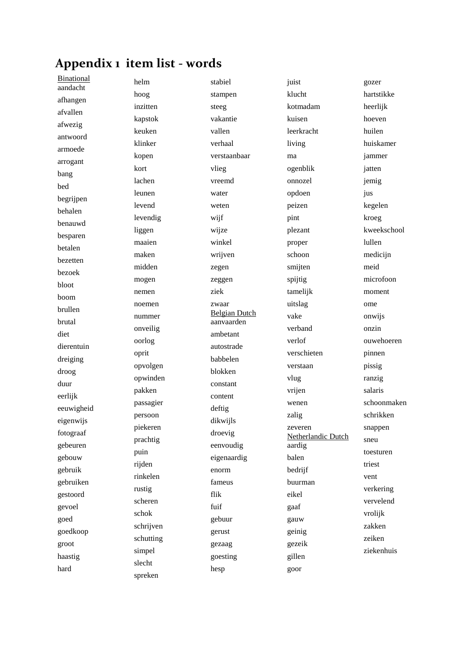# **Appendix 1 item list - words**

Binational aandacht afhangen afvallen afwezig antwoord armoede arrogant bang bed begrijpen behalen benauwd besparen betalen bezetten bezoek bloot boom brullen brutal diet dierentuin dreiging droog duur eerlijk eeuwigheid eigenwijs fotograaf gebeuren gebouw gebruik gebruiken gestoord gevoel goed goedkoop groot haastig hard

helm hoog inzitten kapstok keuken klinker kopen kort lachen leunen levend levendig liggen maaien maken midden mogen nemen noemen nummer onveilig oorlog oprit opvolgen opwinden pakken passagier persoon piekeren prachtig puin rijden rinkelen rustig scheren schok schrijven schutting simpel slecht spreken

stabiel stampen steeg vakantie vallen verhaal verstaanbaar vlieg vreemd water weten wijf wijze winkel wrijven zegen zeggen ziek zwaar Belgian Dutch aanvaarden ambetant autostrade babbelen blokken constant content deftig dikwijls droevig eenvoudig eigenaardig enorm fameus flik fuif gebuur gerust gezaag goesting hesp

juist klucht kotmadam kuisen leerkracht living ma ogenblik onnozel opdoen peizen pint plezant proper schoon smijten spijtig tamelijk uitslag vake verband verlof verschieten verstaan vlug vrijen wenen zalig zeveren Netherlandic Dutch aardig balen bedrijf buurman eikel gaaf gauw geinig gezeik gillen goor

gozer hartstikke heerlijk hoeven huilen huiskamer jammer jatten jemig jus kegelen kroeg kweekschool lullen mediciin meid microfoon moment ome onwijs onzin ouwehoeren pinnen pissig ranzig salaris schoonmaken schrikken snappen sneu toesturen triest vent verkering vervelend vrolijk zakken zeiken ziekenhuis